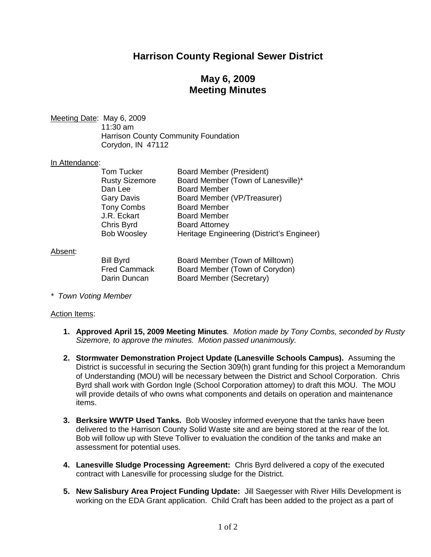# **Harrison County Regional Sewer District**

# **May 6, 2009 Meeting Minutes**

Meeting Date: May 6, 2009 11:30 am

Harrison County Community Foundation Corydon, IN 47112

### In Attendance:

| <b>Tom Tucker</b>     | <b>Board Member (President)</b>            |
|-----------------------|--------------------------------------------|
| <b>Rusty Sizemore</b> | Board Member (Town of Lanesville)*         |
| Dan Lee               | <b>Board Member</b>                        |
| Gary Davis            | Board Member (VP/Treasurer)                |
| <b>Tony Combs</b>     | <b>Board Member</b>                        |
| J.R. Eckart           | <b>Board Member</b>                        |
| Chris Byrd            | <b>Board Attorney</b>                      |
| <b>Bob Woosley</b>    | Heritage Engineering (District's Engineer) |
|                       |                                            |

### Absent:

| <b>Bill Byrd</b>    | Board Member (Town of Milltown) |
|---------------------|---------------------------------|
| <b>Fred Cammack</b> | Board Member (Town of Corydon)  |
| Darin Duncan        | Board Member (Secretary)        |

*\* Town Voting Member*

#### Action Items:

- **1. Approved April 15, 2009 Meeting Minutes**. *Motion made by Tony Combs, seconded by Rusty Sizemore, to approve the minutes. Motion passed unanimously.*
- **2. Stormwater Demonstration Project Update (Lanesville Schools Campus).** Assuming the District is successful in securing the Section 309(h) grant funding for this project a Memorandum of Understanding (MOU) will be necessary between the District and School Corporation. Chris Byrd shall work with Gordon Ingle (School Corporation attorney) to draft this MOU. The MOU will provide details of who owns what components and details on operation and maintenance items.
- **3. Berksire WWTP Used Tanks.** Bob Woosley informed everyone that the tanks have been delivered to the Harrison County Solid Waste site and are being stored at the rear of the lot. Bob will follow up with Steve Tolliver to evaluation the condition of the tanks and make an assessment for potential uses.
- **4. Lanesville Sludge Processing Agreement:** Chris Byrd delivered a copy of the executed contract with Lanesville for processing sludge for the District.
- **5. New Salisbury Area Project Funding Update:** Jill Saegesser with River Hills Development is working on the EDA Grant application. Child Craft has been added to the project as a part of